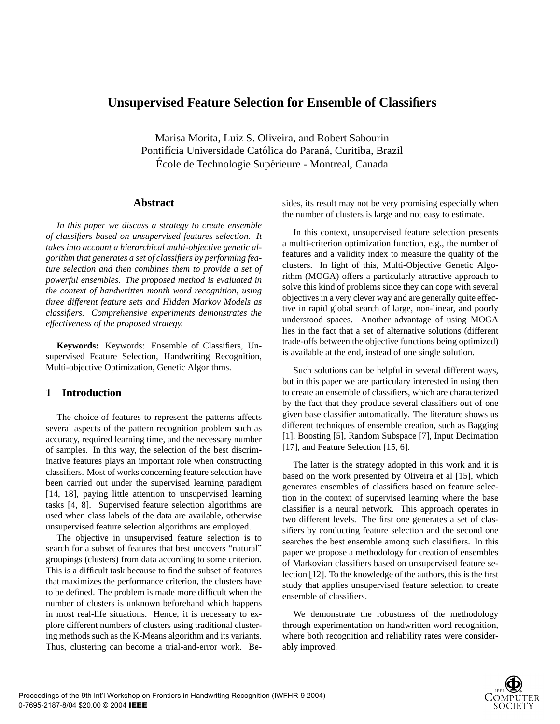## **Unsupervised Feature Selection for Ensemble of Classifiers**

Marisa Morita, Luiz S. Oliveira, and Robert Sabourin Pontifícia Universidade Católica do Paraná, Curitiba, Brazil École de Technologie Supérieure - Montreal, Canada

## **Abstract**

*In this paper we discuss a strategy to create ensemble of classifiers based on unsupervised features selection. It takes into account a hierarchical multi-objective genetic algorithm that generates a set of classifiers by performing feature selection and then combines them to provide a set of powerful ensembles. The proposed method is evaluated in the context of handwritten month word recognition, using three different feature sets and Hidden Markov Models as classifiers. Comprehensive experiments demonstrates the effectiveness of the proposed strategy.*

**Keywords:** Keywords: Ensemble of Classifiers, Unsupervised Feature Selection, Handwriting Recognition, Multi-objective Optimization, Genetic Algorithms.

## **1 Introduction**

The choice of features to represent the patterns affects several aspects of the pattern recognition problem such as accuracy, required learning time, and the necessary number of samples. In this way, the selection of the best discriminative features plays an important role when constructing classifiers. Most of works concerning feature selection have been carried out under the supervised learning paradigm [14, 18], paying little attention to unsupervised learning tasks [4, 8]. Supervised feature selection algorithms are used when class labels of the data are available, otherwise unsupervised feature selection algorithms are employed.

The objective in unsupervised feature selection is to search for a subset of features that best uncovers "natural" groupings (clusters) from data according to some criterion. This is a difficult task because to find the subset of features that maximizes the performance criterion, the clusters have to be defined. The problem is made more difficult when the number of clusters is unknown beforehand which happens in most real-life situations. Hence, it is necessary to explore different numbers of clusters using traditional clustering methods such as the K-Means algorithm and its variants. Thus, clustering can become a trial-and-error work. Besides, its result may not be very promising especially when the number of clusters is large and not easy to estimate.

In this context, unsupervised feature selection presents a multi-criterion optimization function, e.g., the number of features and a validity index to measure the quality of the clusters. In light of this, Multi-Objective Genetic Algorithm (MOGA) offers a particularly attractive approach to solve this kind of problems since they can cope with several objectives in a very clever way and are generally quite effective in rapid global search of large, non-linear, and poorly understood spaces. Another advantage of using MOGA lies in the fact that a set of alternative solutions (different trade-offs between the objective functions being optimized) is available at the end, instead of one single solution.

Such solutions can be helpful in several different ways, but in this paper we are particulary interested in using then to create an ensemble of classifiers, which are characterized by the fact that they produce several classifiers out of one given base classifier automatically. The literature shows us different techniques of ensemble creation, such as Bagging [1], Boosting [5], Random Subspace [7], Input Decimation [17], and Feature Selection [15, 6].

The latter is the strategy adopted in this work and it is based on the work presented by Oliveira et al [15], which generates ensembles of classifiers based on feature selection in the context of supervised learning where the base classifier is a neural network. This approach operates in two different levels. The first one generates a set of classifiers by conducting feature selection and the second one searches the best ensemble among such classifiers. In this paper we propose a methodology for creation of ensembles of Markovian classifiers based on unsupervised feature selection [12]. To the knowledge of the authors, this is the first study that applies unsupervised feature selection to create ensemble of classifiers.

We demonstrate the robustness of the methodology through experimentation on handwritten word recognition, where both recognition and reliability rates were considerably improved.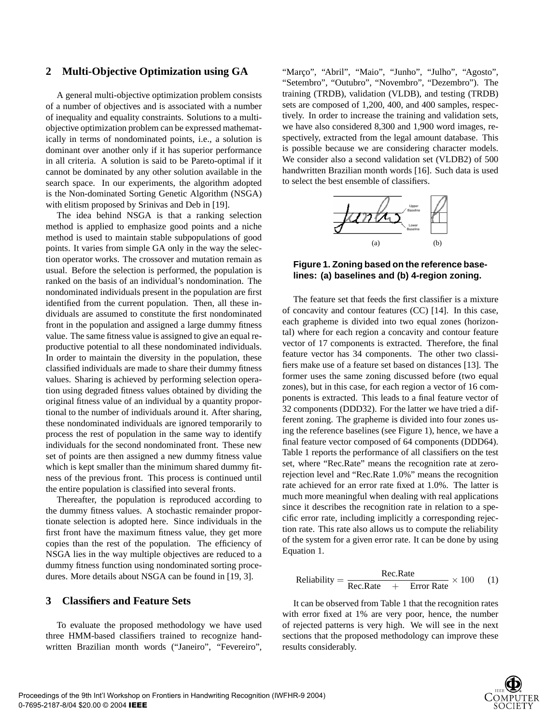## **2 Multi-Objective Optimization using GA**

A general multi-objective optimization problem consists of a number of objectives and is associated with a number of inequality and equality constraints. Solutions to a multiobjective optimization problem can be expressed mathematically in terms of nondominated points, i.e., a solution is dominant over another only if it has superior performance in all criteria. A solution is said to be Pareto-optimal if it cannot be dominated by any other solution available in the search space. In our experiments, the algorithm adopted is the Non-dominated Sorting Genetic Algorithm (NSGA) with elitism proposed by Srinivas and Deb in [19].

The idea behind NSGA is that a ranking selection method is applied to emphasize good points and a niche method is used to maintain stable subpopulations of good points. It varies from simple GA only in the way the selection operator works. The crossover and mutation remain as usual. Before the selection is performed, the population is ranked on the basis of an individual's nondomination. The nondominated individuals present in the population are first identified from the current population. Then, all these individuals are assumed to constitute the first nondominated front in the population and assigned a large dummy fitness value. The same fitness value is assigned to give an equal reproductive potential to all these nondominated individuals. In order to maintain the diversity in the population, these classified individuals are made to share their dummy fitness values. Sharing is achieved by performing selection operation using degraded fitness values obtained by dividing the original fitness value of an individual by a quantity proportional to the number of individuals around it. After sharing, these nondominated individuals are ignored temporarily to process the rest of population in the same way to identify individuals for the second nondominated front. These new set of points are then assigned a new dummy fitness value which is kept smaller than the minimum shared dummy fitness of the previous front. This process is continued until the entire population is classified into several fronts.

Thereafter, the population is reproduced according to the dummy fitness values. A stochastic remainder proportionate selection is adopted here. Since individuals in the first front have the maximum fitness value, they get more copies than the rest of the population. The efficiency of NSGA lies in the way multiple objectives are reduced to a dummy fitness function using nondominated sorting procedures. More details about NSGA can be found in [19, 3].

## **3 Classifiers and Feature Sets**

To evaluate the proposed methodology we have used three HMM-based classifiers trained to recognize handwritten Brazilian month words ("Janeiro", "Fevereiro",

"Março", "Abril", "Maio", "Junho", "Julho", "Agosto", "Setembro", "Outubro", "Novembro", "Dezembro"). The training (TRDB), validation (VLDB), and testing (TRDB) sets are composed of 1,200, 400, and 400 samples, respectively. In order to increase the training and validation sets, we have also considered 8,300 and 1,900 word images, respectively, extracted from the legal amount database. This is possible because we are considering character models. We consider also a second validation set (VLDB2) of 500 handwritten Brazilian month words [16]. Such data is used to select the best ensemble of classifiers.



**Figure 1. Zoning based on the reference baselines: (a) baselines and (b) 4-region zoning.**

The feature set that feeds the first classifier is a mixture of concavity and contour features (CC) [14]. In this case, each grapheme is divided into two equal zones (horizontal) where for each region a concavity and contour feature vector of 17 components is extracted. Therefore, the final feature vector has 34 components. The other two classifiers make use of a feature set based on distances [13]. The former uses the same zoning discussed before (two equal zones), but in this case, for each region a vector of 16 components is extracted. This leads to a final feature vector of 32 components (DDD32). For the latter we have tried a different zoning. The grapheme is divided into four zones using the reference baselines (see Figure 1), hence, we have a final feature vector composed of 64 components (DDD64). Table 1 reports the performance of all classifiers on the test set, where "Rec.Rate" means the recognition rate at zerorejection level and "Rec.Rate 1.0%" means the recognition rate achieved for an error rate fixed at 1.0%. The latter is much more meaningful when dealing with real applications since it describes the recognition rate in relation to a specific error rate, including implicitly a corresponding rejection rate. This rate also allows us to compute the reliability of the system for a given error rate. It can be done by using Equation 1.

Reliability = 
$$
\frac{\text{Rec}.\text{Rate}}{\text{Rec}.\text{Rate} + \text{Error Rate}} \times 100 \qquad (1)
$$

It can be observed from Table 1 that the recognition rates with error fixed at 1% are very poor, hence, the number of rejected patterns is very high. We will see in the next sections that the proposed methodology can improve these results considerably.

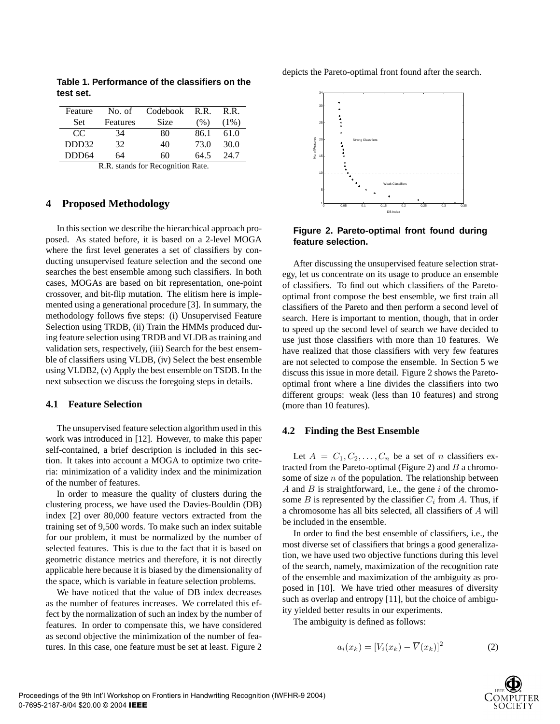| Feature                           | No. of   | Codebook    | R.R. | R.R.    |  |  |
|-----------------------------------|----------|-------------|------|---------|--|--|
| <b>Set</b>                        | Features | <b>Size</b> | (% ) | $(1\%)$ |  |  |
| CC.                               | 34       | 80          | 86.1 | 61.0    |  |  |
| DDD32                             | 32       | 40          | 73.0 | 30.0    |  |  |
| DDD <sub>64</sub>                 | 64       | 60          | 64.5 | 24.7    |  |  |
| R.R. stands for Recognition Rate. |          |             |      |         |  |  |

**Table 1. Performance of the classifiers on the test set.**

# **4 Proposed Methodology**

In this section we describe the hierarchical approach proposed. As stated before, it is based on a 2-level MOGA where the first level generates a set of classifiers by conducting unsupervised feature selection and the second one searches the best ensemble among such classifiers. In both cases, MOGAs are based on bit representation, one-point crossover, and bit-flip mutation. The elitism here is implemented using a generational procedure [3]. In summary, the methodology follows five steps: (i) Unsupervised Feature Selection using TRDB, (ii) Train the HMMs produced during feature selection using TRDB and VLDB as training and validation sets, respectively, (iii) Search for the best ensemble of classifiers using VLDB, (iv) Select the best ensemble using VLDB2, (v) Apply the best ensemble on TSDB. In the next subsection we discuss the foregoing steps in details.

#### **4.1 Feature Selection**

The unsupervised feature selection algorithm used in this work was introduced in [12]. However, to make this paper self-contained, a brief description is included in this section. It takes into account a MOGA to optimize two criteria: minimization of a validity index and the minimization of the number of features.

In order to measure the quality of clusters during the clustering process, we have used the Davies-Bouldin (DB) index [2] over 80,000 feature vectors extracted from the training set of 9,500 words. To make such an index suitable for our problem, it must be normalized by the number of selected features. This is due to the fact that it is based on geometric distance metrics and therefore, it is not directly applicable here because it is biased by the dimensionality of the space, which is variable in feature selection problems.

We have noticed that the value of DB index decreases as the number of features increases. We correlated this effect by the normalization of such an index by the number of features. In order to compensate this, we have considered as second objective the minimization of the number of features. In this case, one feature must be set at least. Figure 2

depicts the Pareto-optimal front found after the search.



**Figure 2. Pareto-optimal front found during feature selection.**

After discussing the unsupervised feature selection strategy, let us concentrate on its usage to produce an ensemble of classifiers. To find out which classifiers of the Paretooptimal front compose the best ensemble, we first train all classifiers of the Pareto and then perform a second level of search. Here is important to mention, though, that in order to speed up the second level of search we have decided to use just those classifiers with more than 10 features. We have realized that those classifiers with very few features are not selected to compose the ensemble. In Section 5 we discuss this issue in more detail. Figure 2 shows the Paretooptimal front where a line divides the classifiers into two different groups: weak (less than 10 features) and strong (more than 10 features).

#### **4.2 Finding the Best Ensemble**

Let  $A = C_1, C_2, \ldots, C_n$  be a set of n classifiers extracted from the Pareto-optimal (Figure 2) and  $B$  a chromosome of size  $n$  of the population. The relationship between A and B is straightforward, i.e., the gene  $i$  of the chromosome B is represented by the classifier  $C_i$  from A. Thus, if a chromosome has all bits selected, all classifiers of A will be included in the ensemble.

In order to find the best ensemble of classifiers, i.e., the most diverse set of classifiers that brings a good generalization, we have used two objective functions during this level of the search, namely, maximization of the recognition rate of the ensemble and maximization of the ambiguity as proposed in [10]. We have tried other measures of diversity such as overlap and entropy [11], but the choice of ambiguity yielded better results in our experiments.

The ambiguity is defined as follows:

$$
a_i(x_k) = [V_i(x_k) - \overline{V}(x_k)]^2
$$
 (2)

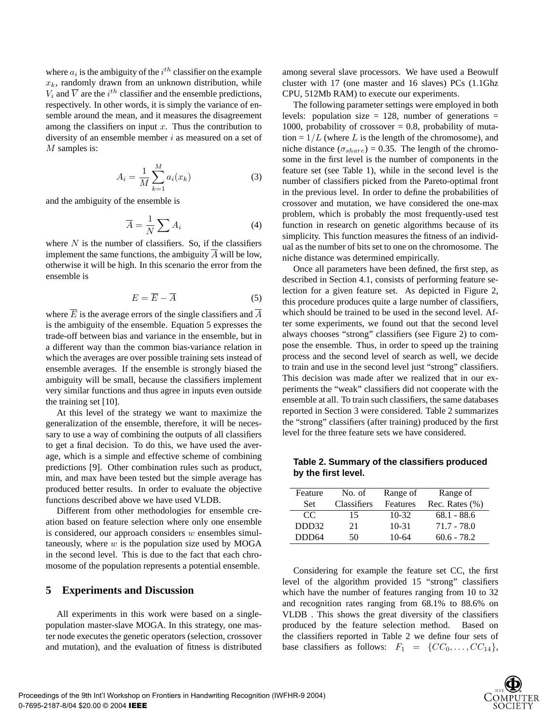where  $a_i$  is the ambiguity of the  $i^{th}$  classifier on the example  $x_k$ , randomly drawn from an unknown distribution, while  $V_i$  and  $\overline{V}$  are the  $i^{th}$  classifier and the ensemble predictions, respectively. In other words, it is simply the variance of ensemble around the mean, and it measures the disagreement among the classifiers on input  $x$ . Thus the contribution to diversity of an ensemble member  $i$  as measured on a set of M samples is:

$$
A_i = \frac{1}{M} \sum_{k=1}^{M} a_i(x_k)
$$
 (3)

and the ambiguity of the ensemble is

$$
\overline{A} = \frac{1}{N} \sum A_i \tag{4}
$$

where  $N$  is the number of classifiers. So, if the classifiers implement the same functions, the ambiguity  $\overline{A}$  will be low, otherwise it will be high. In this scenario the error from the ensemble is

$$
E = \overline{E} - \overline{A} \tag{5}
$$

where  $\overline{E}$  is the average errors of the single classifiers and  $\overline{A}$ is the ambiguity of the ensemble. Equation 5 expresses the trade-off between bias and variance in the ensemble, but in a different way than the common bias-variance relation in which the averages are over possible training sets instead of ensemble averages. If the ensemble is strongly biased the ambiguity will be small, because the classifiers implement very similar functions and thus agree in inputs even outside the training set [10].

At this level of the strategy we want to maximize the generalization of the ensemble, therefore, it will be necessary to use a way of combining the outputs of all classifiers to get a final decision. To do this, we have used the average, which is a simple and effective scheme of combining predictions [9]. Other combination rules such as product, min, and max have been tested but the simple average has produced better results. In order to evaluate the objective functions described above we have used VLDB.

Different from other methodologies for ensemble creation based on feature selection where only one ensemble is considered, our approach considers  $w$  ensembles simultaneously, where  $w$  is the population size used by MOGA in the second level. This is due to the fact that each chromosome of the population represents a potential ensemble.

## **5 Experiments and Discussion**

All experiments in this work were based on a singlepopulation master-slave MOGA. In this strategy, one master node executes the genetic operators (selection, crossover and mutation), and the evaluation of fitness is distributed among several slave processors. We have used a Beowulf cluster with 17 (one master and 16 slaves) PCs (1.1Ghz CPU, 512Mb RAM) to execute our experiments.

The following parameter settings were employed in both levels: population size  $= 128$ , number of generations  $=$ 1000, probability of crossover  $= 0.8$ , probability of mutation =  $1/L$  (where L is the length of the chromosome), and niche distance ( $\sigma_{share}$ ) = 0.35. The length of the chromosome in the first level is the number of components in the feature set (see Table 1), while in the second level is the number of classifiers picked from the Pareto-optimal front in the previous level. In order to define the probabilities of crossover and mutation, we have considered the one-max problem, which is probably the most frequently-used test function in research on genetic algorithms because of its simplicity. This function measures the fitness of an individual as the number of bits set to one on the chromosome. The niche distance was determined empirically.

Once all parameters have been defined, the first step, as described in Section 4.1, consists of performing feature selection for a given feature set. As depicted in Figure 2, this procedure produces quite a large number of classifiers, which should be trained to be used in the second level. After some experiments, we found out that the second level always chooses "strong" classifiers (see Figure 2) to compose the ensemble. Thus, in order to speed up the training process and the second level of search as well, we decide to train and use in the second level just "strong" classifiers. This decision was made after we realized that in our experiments the "weak" classifiers did not cooperate with the ensemble at all. To train such classifiers, the same databases reported in Section 3 were considered. Table 2 summarizes the "strong" classifiers (after training) produced by the first level for the three feature sets we have considered.

**Table 2. Summary of the classifiers produced by the first level.**

| Feature           | No. of      | Range of | Range of           |  |
|-------------------|-------------|----------|--------------------|--|
| Set               | Classifiers | Features | Rec. Rates $(\% )$ |  |
| CC                | 15          | $10-32$  | $68.1 - 88.6$      |  |
| DDD32             | 21          | $10-31$  | $71.7 - 78.0$      |  |
| DDD <sub>64</sub> | 50          | $10-64$  | $60.6 - 78.2$      |  |

Considering for example the feature set CC, the first level of the algorithm provided 15 "strong" classifiers which have the number of features ranging from 10 to 32 and recognition rates ranging from 68.1% to 88.6% on VLDB . This shows the great diversity of the classifiers produced by the feature selection method. Based on the classifiers reported in Table 2 we define four sets of base classifiers as follows:  $F_1 = \{CC_0, \ldots, CC_{14}\},\$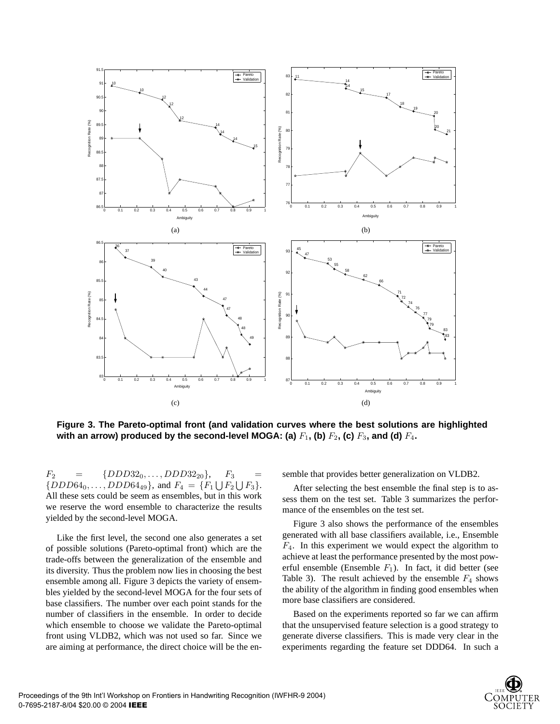

**Figure 3. The Pareto-optimal front (and validation curves where the best solutions are highlighted** with an arrow) produced by the second-level MOGA: (a)  $F_1$ , (b)  $F_2$ , (c)  $F_3$ , and (d)  $F_4$ .

 $F_2 = \{DDD32_0, \ldots, DDD32_{20}\}, F_3$  ${F_2 = \{DDD320, \ldots, DDD320\}, \quad F_3 = \{DDD640, \ldots, DDD6449\}, \text{ and } F_4 = \{F_1 \cup F_2 \cup F_3\}.$ All these sets could be seem as ensembles, but in this work we reserve the word ensemble to characterize the results yielded by the second-level MOGA.

Like the first level, the second one also generates a set of possible solutions (Pareto-optimal front) which are the trade-offs between the generalization of the ensemble and its diversity. Thus the problem now lies in choosing the best ensemble among all. Figure 3 depicts the variety of ensembles yielded by the second-level MOGA for the four sets of base classifiers. The number over each point stands for the number of classifiers in the ensemble. In order to decide which ensemble to choose we validate the Pareto-optimal front using VLDB2, which was not used so far. Since we are aiming at performance, the direct choice will be the ensemble that provides better generalization on VLDB2.

After selecting the best ensemble the final step is to assess them on the test set. Table 3 summarizes the performance of the ensembles on the test set.

Figure 3 also shows the performance of the ensembles generated with all base classifiers available, i.e., Ensemble  $F_4$ . In this experiment we would expect the algorithm to achieve at least the performance presented by the most powerful ensemble (Ensemble  $F_1$ ). In fact, it did better (see Table 3). The result achieved by the ensemble  $F_4$  shows the ability of the algorithm in finding good ensembles when more base classifiers are considered.

Based on the experiments reported so far we can affirm that the unsupervised feature selection is a good strategy to generate diverse classifiers. This is made very clear in the experiments regarding the feature set DDD64. In such a